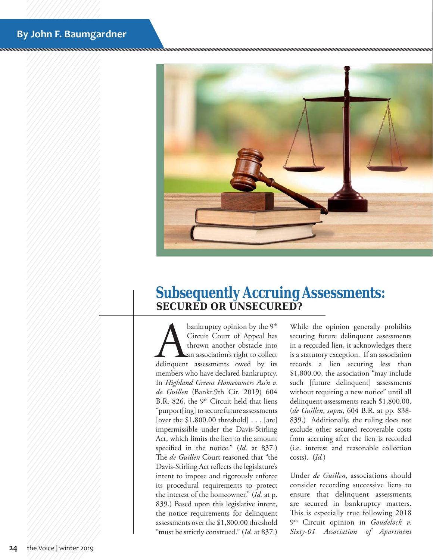## **By John F. Baumgardner**



## **Subsequently Accruing Assessments: SECURED OR UNSECURED?**

**A bankruptcy opinion by the 9th**<br>Circuit Court of Appeal has<br>thrown another obstacle into<br>delinquent assessments owed by its Circuit Court of Appeal has thrown another obstacle into an association's right to collect members who have declared bankruptcy. In *Highland Greens Homeowners Ass'n v. de Guillen* (Bankr.9th Cir. 2019) 604 B.R. 826, the  $9<sup>th</sup>$  Circuit held that liens "purport[ing] to secure future assessments [over the \$1,800.00 threshold] . . . [are] impermissible under the Davis-Stirling Act, which limits the lien to the amount specified in the notice." (*Id.* at 837.) The *de Guillen* Court reasoned that "the Davis-Stirling Act reflects the legislature's intent to impose and rigorously enforce its procedural requirements to protect the interest of the homeowner." (*Id.* at p. 839.) Based upon this legislative intent, the notice requirements for delinquent assessments over the \$1,800.00 threshold "must be strictly construed." (*Id.* at 837.)

While the opinion generally prohibits securing future delinquent assessments in a recorded lien, it acknowledges there is a statutory exception. If an association records a lien securing less than \$1,800.00, the association "may include such [future delinquent] assessments without requiring a new notice" until all delinquent assessments reach \$1,800.00. (*de Guillen*, *supra*, 604 B.R. at pp. 838- 839.) Additionally, the ruling does not exclude other secured recoverable costs from accruing after the lien is recorded (i.e. interest and reasonable collection costs). (*Id.*)

Under *de Guillen*, associations should consider recording successive liens to ensure that delinquent assessments are secured in bankruptcy matters. This is especially true following 2018 9th Circuit opinion in *Goudelock v. Sixty-01 Association of Apartment*